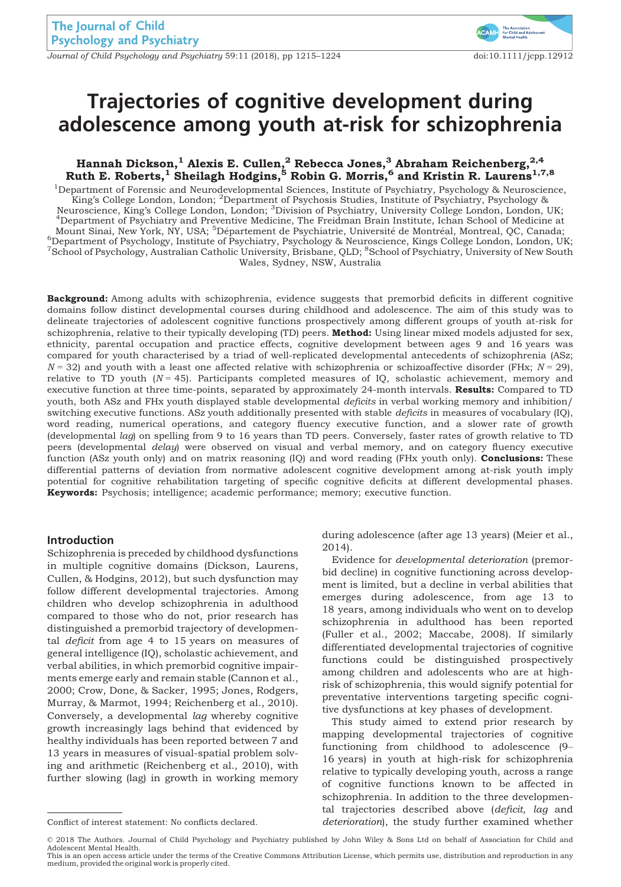Journal of Child Psychology and Psychiatry 59:11 (2018), pp 1215–1224 doi:10.1111/jcpp.12912



# Trajectories of cognitive development during adolescence among youth at-risk for schizophrenia

# Hannah Dickson, $^{1}$  Alexis E. Cullen, $^{2}$  Rebecca Jones, $^{3}$  Abraham Reichenberg, $^{2,4}$ Ruth E. Roberts, $^1$  Sheilagh Hodgins, $^5$  Robin G. Morris, $^6$  and Kristin R. Laurens $^{1,7,8}$

<sup>1</sup>Department of Forensic and Neurodevelopmental Sciences, Institute of Psychiatry, Psychology & Neuroscience, .<br>King's College London, London; <sup>2</sup>Department of Psychosis Studies, Institute of Psychiatry, Psychology & Neuroscience, King's College London, London; <sup>3</sup> Division of Psychiatry, University College London, London, UK; <sup>4</sup> Department of Psychiatry and Preventive Medicine, The Freidman Brain Institute, Johan School of Medicine a Department of Psychiatry and Preventive Medicine, The Freidman Brain Institute, Ichan School of Medicine at Mount Sinai, New York, NY, USA; <sup>5</sup>Département de Psychiatrie, Université de Montréal, Montreal, QC, Canada;<br><sup>6</sup>Department of Psychology, Institute of Psychiatry, Psychology & Neuroscience, Kings College London, London, U Department of Psychology, Institute of Psychiatry, Psychology & Neuroscience, Kings College London, London, UK; 7 School of Psychology, Australian Catholic University, Brisbane, QLD; <sup>8</sup> School of Psychiatry, University of New South Wales, Sydney, NSW, Australia

Background: Among adults with schizophrenia, evidence suggests that premorbid deficits in different cognitive domains follow distinct developmental courses during childhood and adolescence. The aim of this study was to delineate trajectories of adolescent cognitive functions prospectively among different groups of youth at-risk for schizophrenia, relative to their typically developing (TD) peers. Method: Using linear mixed models adjusted for sex, ethnicity, parental occupation and practice effects, cognitive development between ages 9 and 16 years was compared for youth characterised by a triad of well-replicated developmental antecedents of schizophrenia (ASz;  $N = 32$ ) and youth with a least one affected relative with schizophrenia or schizoaffective disorder (FHx;  $N = 29$ ), relative to TD youth  $(N = 45)$ . Participants completed measures of IQ, scholastic achievement, memory and executive function at three time-points, separated by approximately 24-month intervals. Results: Compared to TD youth, both ASz and FHx youth displayed stable developmental deficits in verbal working memory and inhibition/ switching executive functions. ASz youth additionally presented with stable *deficits* in measures of vocabulary (IQ), word reading, numerical operations, and category fluency executive function, and a slower rate of growth (developmental lag) on spelling from 9 to 16 years than TD peers. Conversely, faster rates of growth relative to TD peers (developmental delay) were observed on visual and verbal memory, and on category fluency executive function (ASz youth only) and on matrix reasoning (IQ) and word reading (FHx youth only). **Conclusions:** These differential patterns of deviation from normative adolescent cognitive development among at-risk youth imply potential for cognitive rehabilitation targeting of specific cognitive deficits at different developmental phases. Keywords: Psychosis; intelligence; academic performance; memory; executive function.

# Introduction

Schizophrenia is preceded by childhood dysfunctions in multiple cognitive domains (Dickson, Laurens, Cullen, & Hodgins, 2012), but such dysfunction may follow different developmental trajectories. Among children who develop schizophrenia in adulthood compared to those who do not, prior research has distinguished a premorbid trajectory of developmental deficit from age 4 to 15 years on measures of general intelligence (IQ), scholastic achievement, and verbal abilities, in which premorbid cognitive impairments emerge early and remain stable (Cannon et al., 2000; Crow, Done, & Sacker, 1995; Jones, Rodgers, Murray, & Marmot, 1994; Reichenberg et al., 2010). Conversely, a developmental lag whereby cognitive growth increasingly lags behind that evidenced by healthy individuals has been reported between 7 and 13 years in measures of visual-spatial problem solving and arithmetic (Reichenberg et al., 2010), with further slowing (lag) in growth in working memory

during adolescence (after age 13 years) (Meier et al., 2014).

Evidence for developmental deterioration (premorbid decline) in cognitive functioning across development is limited, but a decline in verbal abilities that emerges during adolescence, from age 13 to 18 years, among individuals who went on to develop schizophrenia in adulthood has been reported (Fuller et al., 2002; Maccabe, 2008). If similarly differentiated developmental trajectories of cognitive functions could be distinguished prospectively among children and adolescents who are at highrisk of schizophrenia, this would signify potential for preventative interventions targeting specific cognitive dysfunctions at key phases of development.

This study aimed to extend prior research by mapping developmental trajectories of cognitive functioning from childhood to adolescence (9– 16 years) in youth at high-risk for schizophrenia relative to typically developing youth, across a range of cognitive functions known to be affected in schizophrenia. In addition to the three developmental trajectories described above (deficit, lag and Conflict of interest statement: No conflicts declared. deterioration), the study further examined whether

© 2018 The Authors. Journal of Child Psychology and Psychiatry published by John Wiley & Sons Ltd on behalf of Association for Child and

Adolescent Mental Health. This is an open access article under the terms of the [Creative Commons Attribution](http://creativecommons.org/licenses/by/4.0/) License, which permits use, distribution and reproduction in any medium, provided the original work is properly cited.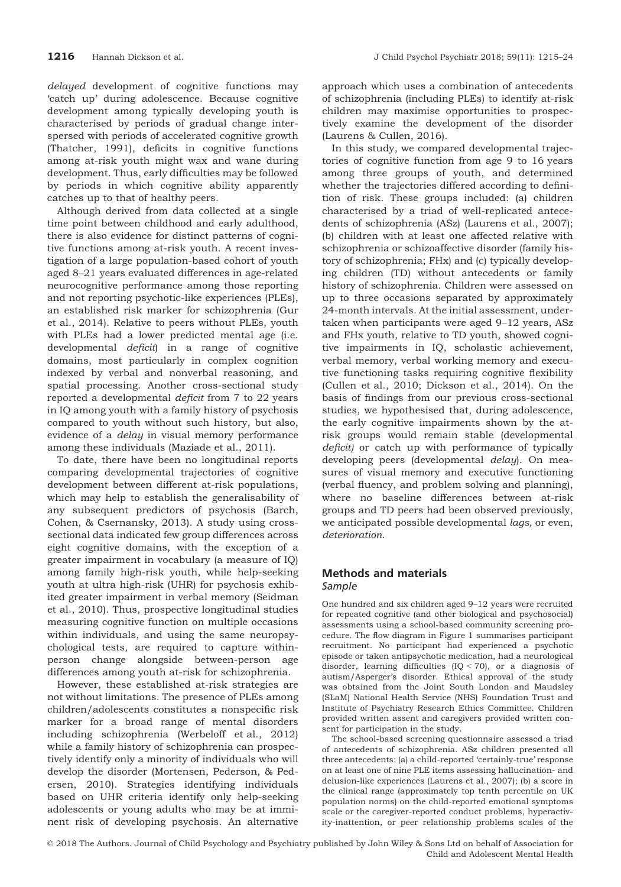delayed development of cognitive functions may 'catch up' during adolescence. Because cognitive development among typically developing youth is characterised by periods of gradual change interspersed with periods of accelerated cognitive growth (Thatcher, 1991), deficits in cognitive functions among at-risk youth might wax and wane during development. Thus, early difficulties may be followed by periods in which cognitive ability apparently catches up to that of healthy peers.

Although derived from data collected at a single time point between childhood and early adulthood, there is also evidence for distinct patterns of cognitive functions among at-risk youth. A recent investigation of a large population-based cohort of youth aged 8–21 years evaluated differences in age-related neurocognitive performance among those reporting and not reporting psychotic-like experiences (PLEs), an established risk marker for schizophrenia (Gur et al., 2014). Relative to peers without PLEs, youth with PLEs had a lower predicted mental age (i.e. developmental deficit) in a range of cognitive domains, most particularly in complex cognition indexed by verbal and nonverbal reasoning, and spatial processing. Another cross-sectional study reported a developmental deficit from 7 to 22 years in IQ among youth with a family history of psychosis compared to youth without such history, but also, evidence of a delay in visual memory performance among these individuals (Maziade et al., 2011).

To date, there have been no longitudinal reports comparing developmental trajectories of cognitive development between different at-risk populations, which may help to establish the generalisability of any subsequent predictors of psychosis (Barch, Cohen, & Csernansky, 2013). A study using crosssectional data indicated few group differences across eight cognitive domains, with the exception of a greater impairment in vocabulary (a measure of IQ) among family high-risk youth, while help-seeking youth at ultra high-risk (UHR) for psychosis exhibited greater impairment in verbal memory (Seidman et al., 2010). Thus, prospective longitudinal studies measuring cognitive function on multiple occasions within individuals, and using the same neuropsychological tests, are required to capture withinperson change alongside between-person age differences among youth at-risk for schizophrenia.

However, these established at-risk strategies are not without limitations. The presence of PLEs among children/adolescents constitutes a nonspecific risk marker for a broad range of mental disorders including schizophrenia (Werbeloff et al., 2012) while a family history of schizophrenia can prospectively identify only a minority of individuals who will develop the disorder (Mortensen, Pederson, & Pedersen, 2010). Strategies identifying individuals based on UHR criteria identify only help-seeking adolescents or young adults who may be at imminent risk of developing psychosis. An alternative

approach which uses a combination of antecedents of schizophrenia (including PLEs) to identify at-risk children may maximise opportunities to prospectively examine the development of the disorder (Laurens & Cullen, 2016).

In this study, we compared developmental trajectories of cognitive function from age 9 to 16 years among three groups of youth, and determined whether the trajectories differed according to definition of risk. These groups included: (a) children characterised by a triad of well-replicated antecedents of schizophrenia (ASz) (Laurens et al., 2007); (b) children with at least one affected relative with schizophrenia or schizoaffective disorder (family history of schizophrenia; FHx) and (c) typically developing children (TD) without antecedents or family history of schizophrenia. Children were assessed on up to three occasions separated by approximately 24-month intervals. At the initial assessment, undertaken when participants were aged 9–12 years, ASz and FHx youth, relative to TD youth, showed cognitive impairments in IQ, scholastic achievement, verbal memory, verbal working memory and executive functioning tasks requiring cognitive flexibility (Cullen et al., 2010; Dickson et al., 2014). On the basis of findings from our previous cross-sectional studies, we hypothesised that, during adolescence, the early cognitive impairments shown by the atrisk groups would remain stable (developmental deficit) or catch up with performance of typically developing peers (developmental delay). On measures of visual memory and executive functioning (verbal fluency, and problem solving and planning), where no baseline differences between at-risk groups and TD peers had been observed previously, we anticipated possible developmental lags, or even, deterioration.

# Methods and materials Sample

One hundred and six children aged 9–12 years were recruited for repeated cognitive (and other biological and psychosocial) assessments using a school-based community screening procedure. The flow diagram in Figure 1 summarises participant recruitment. No participant had experienced a psychotic episode or taken antipsychotic medication, had a neurological disorder, learning difficulties (IQ < 70), or a diagnosis of autism/Asperger's disorder. Ethical approval of the study was obtained from the Joint South London and Maudsley (SLaM) National Health Service (NHS) Foundation Trust and Institute of Psychiatry Research Ethics Committee. Children provided written assent and caregivers provided written consent for participation in the study.

The school-based screening questionnaire assessed a triad of antecedents of schizophrenia. ASz children presented all three antecedents: (a) a child-reported 'certainly-true' response on at least one of nine PLE items assessing hallucination- and delusion-like experiences (Laurens et al., 2007); (b) a score in the clinical range (approximately top tenth percentile on UK population norms) on the child-reported emotional symptoms scale or the caregiver-reported conduct problems, hyperactivity-inattention, or peer relationship problems scales of the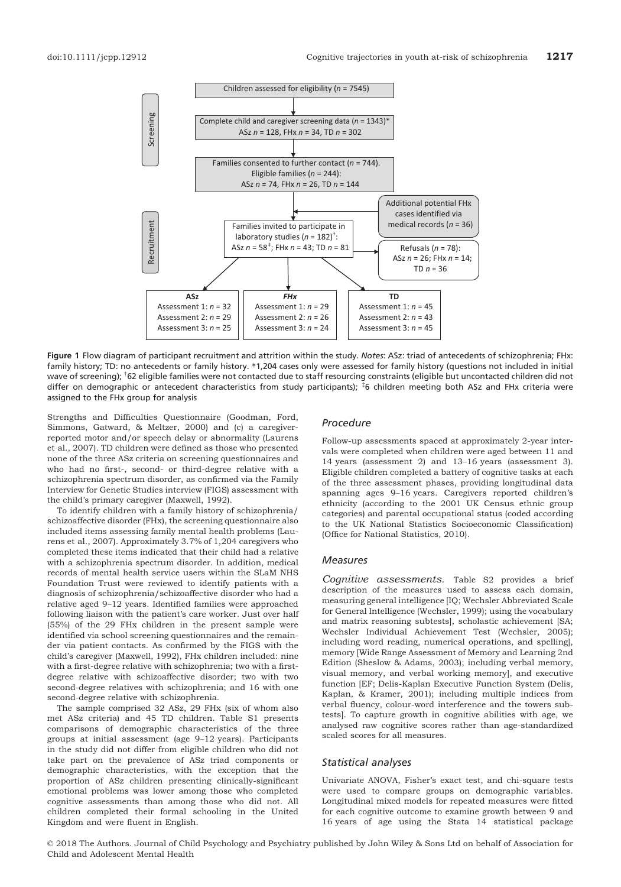

Figure 1 Flow diagram of participant recruitment and attrition within the study. Notes: ASz: triad of antecedents of schizophrenia; FHx: family history; TD: no antecedents or family history. \*1,204 cases only were assessed for family history (questions not included in initial wave of screening); <sup>†</sup>62 eligible families were not contacted due to staff resourcing constraints (eligible but uncontacted children did not differ on demographic or antecedent characteristics from study participants); ‡ 6 children meeting both ASz and FHx criteria were assigned to the FHx group for analysis

Strengths and Difficulties Questionnaire (Goodman, Ford, Simmons, Gatward, & Meltzer, 2000) and (c) a caregiverreported motor and/or speech delay or abnormality (Laurens et al., 2007). TD children were defined as those who presented none of the three ASz criteria on screening questionnaires and who had no first-, second- or third-degree relative with a schizophrenia spectrum disorder, as confirmed via the Family Interview for Genetic Studies interview (FIGS) assessment with the child's primary caregiver (Maxwell, 1992).

To identify children with a family history of schizophrenia/ schizoaffective disorder (FHx), the screening questionnaire also included items assessing family mental health problems (Laurens et al., 2007). Approximately 3.7% of 1,204 caregivers who completed these items indicated that their child had a relative with a schizophrenia spectrum disorder. In addition, medical records of mental health service users within the SLaM NHS Foundation Trust were reviewed to identify patients with a diagnosis of schizophrenia/schizoaffective disorder who had a relative aged 9–12 years. Identified families were approached following liaison with the patient's care worker. Just over half (55%) of the 29 FHx children in the present sample were identified via school screening questionnaires and the remainder via patient contacts. As confirmed by the FIGS with the child's caregiver (Maxwell, 1992), FHx children included: nine with a first-degree relative with schizophrenia; two with a firstdegree relative with schizoaffective disorder; two with two second-degree relatives with schizophrenia; and 16 with one second-degree relative with schizophrenia.

The sample comprised 32 ASz, 29 FHx (six of whom also met ASz criteria) and 45 TD children. Table S1 presents comparisons of demographic characteristics of the three groups at initial assessment (age 9–12 years). Participants in the study did not differ from eligible children who did not take part on the prevalence of ASz triad components or demographic characteristics, with the exception that the proportion of ASz children presenting clinically-significant emotional problems was lower among those who completed cognitive assessments than among those who did not. All children completed their formal schooling in the United Kingdom and were fluent in English.

### Procedure

Follow-up assessments spaced at approximately 2-year intervals were completed when children were aged between 11 and 14 years (assessment 2) and 13–16 years (assessment 3). Eligible children completed a battery of cognitive tasks at each of the three assessment phases, providing longitudinal data spanning ages 9–16 years. Caregivers reported children's ethnicity (according to the 2001 UK Census ethnic group categories) and parental occupational status (coded according to the UK National Statistics Socioeconomic Classification) (Office for National Statistics, 2010).

#### **Measures**

Cognitive assessments. Table S2 provides a brief description of the measures used to assess each domain, measuring general intelligence [IQ; Wechsler Abbreviated Scale for General Intelligence (Wechsler, 1999); using the vocabulary and matrix reasoning subtests], scholastic achievement [SA; Wechsler Individual Achievement Test (Wechsler, 2005); including word reading, numerical operations, and spelling], memory [Wide Range Assessment of Memory and Learning 2nd Edition (Sheslow & Adams, 2003); including verbal memory, visual memory, and verbal working memory], and executive function [EF; Delis-Kaplan Executive Function System (Delis, Kaplan, & Kramer, 2001); including multiple indices from verbal fluency, colour-word interference and the towers subtests]. To capture growth in cognitive abilities with age, we analysed raw cognitive scores rather than age-standardized scaled scores for all measures.

#### Statistical analyses

Univariate ANOVA, Fisher's exact test, and chi-square tests were used to compare groups on demographic variables. Longitudinal mixed models for repeated measures were fitted for each cognitive outcome to examine growth between 9 and 16 years of age using the Stata 14 statistical package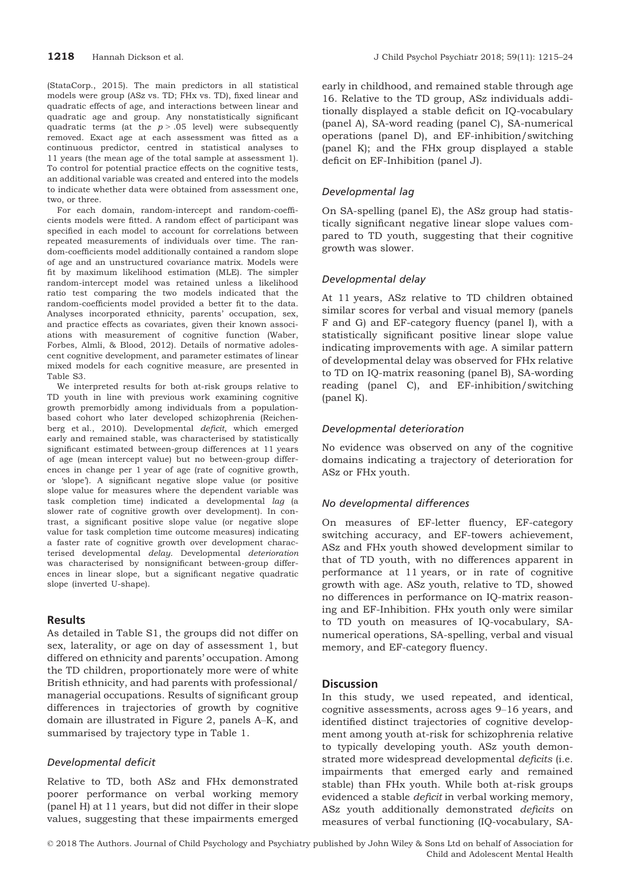(StataCorp., 2015). The main predictors in all statistical models were group (ASz vs. TD; FHx vs. TD), fixed linear and quadratic effects of age, and interactions between linear and quadratic age and group. Any nonstatistically significant quadratic terms (at the  $p > .05$  level) were subsequently removed. Exact age at each assessment was fitted as a continuous predictor, centred in statistical analyses to 11 years (the mean age of the total sample at assessment 1). To control for potential practice effects on the cognitive tests, an additional variable was created and entered into the models to indicate whether data were obtained from assessment one, two, or three.

For each domain, random-intercept and random-coefficients models were fitted. A random effect of participant was specified in each model to account for correlations between repeated measurements of individuals over time. The random-coefficients model additionally contained a random slope of age and an unstructured covariance matrix. Models were fit by maximum likelihood estimation (MLE). The simpler random-intercept model was retained unless a likelihood ratio test comparing the two models indicated that the random-coefficients model provided a better fit to the data. Analyses incorporated ethnicity, parents' occupation, sex, and practice effects as covariates, given their known associations with measurement of cognitive function (Waber, Forbes, Almli, & Blood, 2012). Details of normative adolescent cognitive development, and parameter estimates of linear mixed models for each cognitive measure, are presented in Table S3.

We interpreted results for both at-risk groups relative to TD youth in line with previous work examining cognitive growth premorbidly among individuals from a populationbased cohort who later developed schizophrenia (Reichenberg et al., 2010). Developmental deficit, which emerged early and remained stable, was characterised by statistically significant estimated between-group differences at 11 years of age (mean intercept value) but no between-group differences in change per 1 year of age (rate of cognitive growth, or 'slope'). A significant negative slope value (or positive slope value for measures where the dependent variable was task completion time) indicated a developmental lag (a slower rate of cognitive growth over development). In contrast, a significant positive slope value (or negative slope value for task completion time outcome measures) indicating a faster rate of cognitive growth over development characterised developmental delay. Developmental deterioration was characterised by nonsignificant between-group differences in linear slope, but a significant negative quadratic slope (inverted U-shape).

# Results

As detailed in Table S1, the groups did not differ on sex, laterality, or age on day of assessment 1, but differed on ethnicity and parents' occupation. Among the TD children, proportionately more were of white British ethnicity, and had parents with professional/ managerial occupations. Results of significant group differences in trajectories of growth by cognitive domain are illustrated in Figure 2, panels A–K, and summarised by trajectory type in Table 1.

# Developmental deficit

Relative to TD, both ASz and FHx demonstrated poorer performance on verbal working memory (panel H) at 11 years, but did not differ in their slope values, suggesting that these impairments emerged

early in childhood, and remained stable through age 16. Relative to the TD group, ASz individuals additionally displayed a stable deficit on IQ-vocabulary (panel A), SA-word reading (panel C), SA-numerical operations (panel D), and EF-inhibition/switching (panel K); and the FHx group displayed a stable deficit on EF-Inhibition (panel J).

# Developmental lag

On SA-spelling (panel E), the ASz group had statistically significant negative linear slope values compared to TD youth, suggesting that their cognitive growth was slower.

# Developmental delay

At 11 years, ASz relative to TD children obtained similar scores for verbal and visual memory (panels F and G) and EF-category fluency (panel I), with a statistically significant positive linear slope value indicating improvements with age. A similar pattern of developmental delay was observed for FHx relative to TD on IQ-matrix reasoning (panel B), SA-wording reading (panel C), and EF-inhibition/switching (panel K).

# Developmental deterioration

No evidence was observed on any of the cognitive domains indicating a trajectory of deterioration for ASz or FHx youth.

# No developmental differences

On measures of EF-letter fluency, EF-category switching accuracy, and EF-towers achievement, ASz and FHx youth showed development similar to that of TD youth, with no differences apparent in performance at 11 years, or in rate of cognitive growth with age. ASz youth, relative to TD, showed no differences in performance on IQ-matrix reasoning and EF-Inhibition. FHx youth only were similar to TD youth on measures of IQ-vocabulary, SAnumerical operations, SA-spelling, verbal and visual memory, and EF-category fluency.

# **Discussion**

In this study, we used repeated, and identical, cognitive assessments, across ages 9–16 years, and identified distinct trajectories of cognitive development among youth at-risk for schizophrenia relative to typically developing youth. ASz youth demonstrated more widespread developmental deficits (i.e. impairments that emerged early and remained stable) than FHx youth. While both at-risk groups evidenced a stable deficit in verbal working memory, ASz youth additionally demonstrated deficits on measures of verbal functioning (IQ-vocabulary, SA-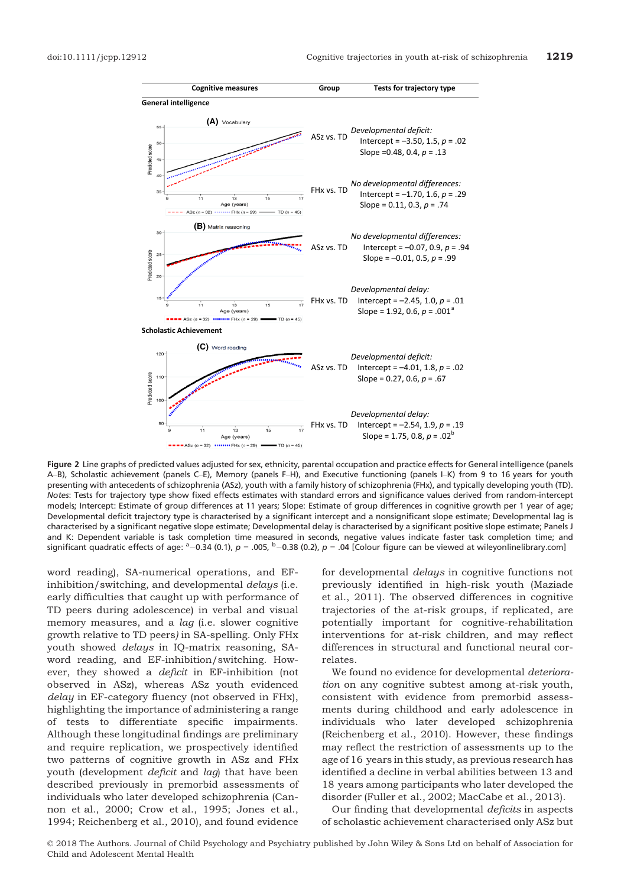

Figure 2 Line graphs of predicted values adjusted for sex, ethnicity, parental occupation and practice effects for General intelligence (panels A–B), Scholastic achievement (panels C–E), Memory (panels F–H), and Executive functioning (panels I–K) from 9 to 16 years for youth presenting with antecedents of schizophrenia (ASz), youth with a family history of schizophrenia (FHx), and typically developing youth (TD). Notes: Tests for trajectory type show fixed effects estimates with standard errors and significance values derived from random-intercept models; Intercept: Estimate of group differences at 11 years; Slope: Estimate of group differences in cognitive growth per 1 year of age; Developmental deficit trajectory type is characterised by a significant intercept and a nonsignificant slope estimate; Developmental lag is characterised by a significant negative slope estimate; Developmental delay is characterised by a significant positive slope estimate; Panels J and K: Dependent variable is task completion time measured in seconds, negative values indicate faster task completion time; and significant quadratic effects of age: <sup>a</sup> $-0.34$  (0.1),  $p = .005$ , <sup>b</sup> $-0.38$  (0.2),  $p = .04$  [Colour figure can be viewed at wileyonlinelibrary.com]

word reading), SA-numerical operations, and EFinhibition/switching, and developmental delays (i.e. early difficulties that caught up with performance of TD peers during adolescence) in verbal and visual memory measures, and a lag (i.e. slower cognitive growth relative to TD peers) in SA-spelling. Only FHx youth showed delays in IQ-matrix reasoning, SAword reading, and EF-inhibition/switching. However, they showed a deficit in EF-inhibition (not observed in ASz), whereas ASz youth evidenced delay in EF-category fluency (not observed in FHx), highlighting the importance of administering a range of tests to differentiate specific impairments. Although these longitudinal findings are preliminary and require replication, we prospectively identified two patterns of cognitive growth in ASz and FHx youth (development deficit and lag) that have been described previously in premorbid assessments of individuals who later developed schizophrenia (Cannon et al., 2000; Crow et al., 1995; Jones et al., 1994; Reichenberg et al., 2010), and found evidence

for developmental delays in cognitive functions not previously identified in high-risk youth (Maziade et al., 2011). The observed differences in cognitive trajectories of the at-risk groups, if replicated, are potentially important for cognitive-rehabilitation interventions for at-risk children, and may reflect differences in structural and functional neural correlates.

We found no evidence for developmental *deteriora*tion on any cognitive subtest among at-risk youth, consistent with evidence from premorbid assessments during childhood and early adolescence in individuals who later developed schizophrenia (Reichenberg et al., 2010). However, these findings may reflect the restriction of assessments up to the age of 16 years in this study, as previous research has identified a decline in verbal abilities between 13 and 18 years among participants who later developed the disorder (Fuller et al., 2002; MacCabe et al., 2013).

Our finding that developmental deficits in aspects of scholastic achievement characterised only ASz but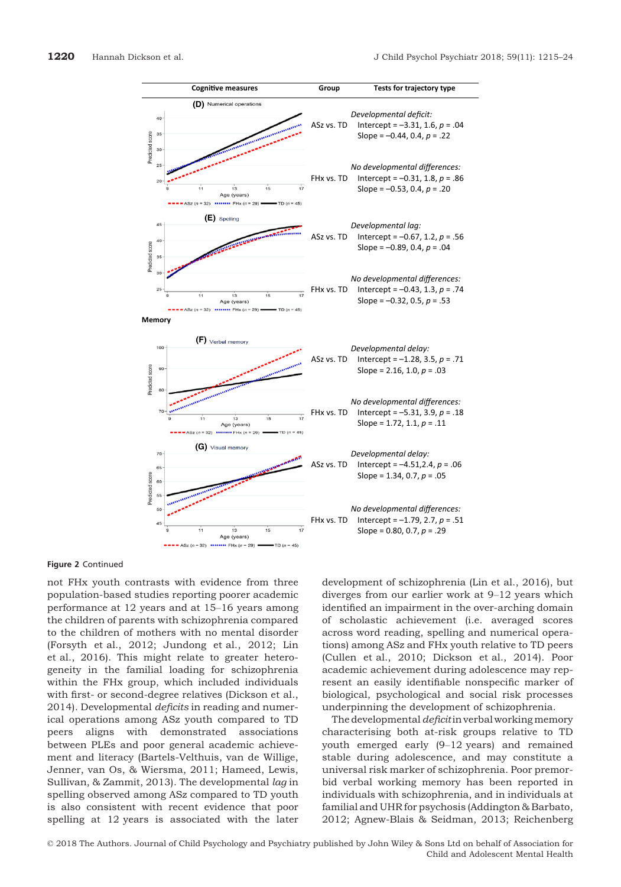

Figure 2 Continued

not FHx youth contrasts with evidence from three population-based studies reporting poorer academic performance at 12 years and at 15–16 years among the children of parents with schizophrenia compared to the children of mothers with no mental disorder (Forsyth et al., 2012; Jundong et al., 2012; Lin et al., 2016). This might relate to greater heterogeneity in the familial loading for schizophrenia within the FHx group, which included individuals with first- or second-degree relatives (Dickson et al., 2014). Developmental deficits in reading and numerical operations among ASz youth compared to TD peers aligns with demonstrated associations between PLEs and poor general academic achievement and literacy (Bartels-Velthuis, van de Willige, Jenner, van Os, & Wiersma, 2011; Hameed, Lewis, Sullivan, & Zammit, 2013). The developmental lag in spelling observed among ASz compared to TD youth is also consistent with recent evidence that poor spelling at 12 years is associated with the later

development of schizophrenia (Lin et al., 2016), but diverges from our earlier work at 9–12 years which identified an impairment in the over-arching domain of scholastic achievement (i.e. averaged scores across word reading, spelling and numerical operations) among ASz and FHx youth relative to TD peers (Cullen et al., 2010; Dickson et al., 2014). Poor academic achievement during adolescence may represent an easily identifiable nonspecific marker of biological, psychological and social risk processes underpinning the development of schizophrenia.

The developmental *deficit* in verbal working memory characterising both at-risk groups relative to TD youth emerged early (9–12 years) and remained stable during adolescence, and may constitute a universal risk marker of schizophrenia. Poor premorbid verbal working memory has been reported in individuals with schizophrenia, and in individuals at familial and UHR for psychosis (Addington & Barbato, 2012; Agnew-Blais & Seidman, 2013; Reichenberg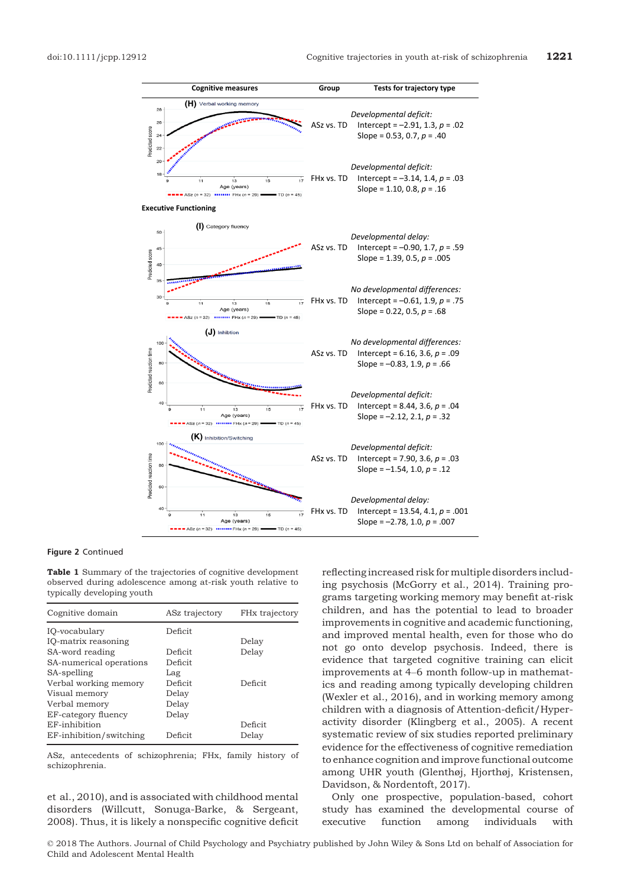

#### Figure 2 Continued

Table 1 Summary of the trajectories of cognitive development observed during adolescence among at-risk youth relative to typically developing youth

| Cognitive domain        | ASz trajectory | FH <sub>x</sub> trajectory |
|-------------------------|----------------|----------------------------|
| IQ-vocabulary           | Deficit        |                            |
| IQ-matrix reasoning     |                | Delay                      |
| SA-word reading         | Deficit        | Delay                      |
| SA-numerical operations | Deficit        |                            |
| SA-spelling             | Lag            |                            |
| Verbal working memory   | Deficit        | Deficit                    |
| Visual memory           | Delay          |                            |
| Verbal memory           | Delay          |                            |
| EF-category fluency     | Delay          |                            |
| EF-inhibition           |                | Deficit                    |
| EF-inhibition/switching | Deficit        | Delay                      |

ASz, antecedents of schizophrenia; FHx, family history of schizophrenia.

et al., 2010), and is associated with childhood mental disorders (Willcutt, Sonuga-Barke, & Sergeant, 2008). Thus, it is likely a nonspecific cognitive deficit reflecting increased risk for multiple disorders including psychosis (McGorry et al., 2014). Training programs targeting working memory may benefit at-risk children, and has the potential to lead to broader improvements in cognitive and academic functioning, and improved mental health, even for those who do not go onto develop psychosis. Indeed, there is evidence that targeted cognitive training can elicit improvements at 4–6 month follow-up in mathematics and reading among typically developing children (Wexler et al., 2016), and in working memory among children with a diagnosis of Attention-deficit/Hyperactivity disorder (Klingberg et al., 2005). A recent systematic review of six studies reported preliminary evidence for the effectiveness of cognitive remediation to enhance cognition and improve functional outcome among UHR youth (Glenthøj, Hjorthøj, Kristensen, Davidson, & Nordentoft, 2017).

Only one prospective, population-based, cohort study has examined the developmental course of executive function among individuals with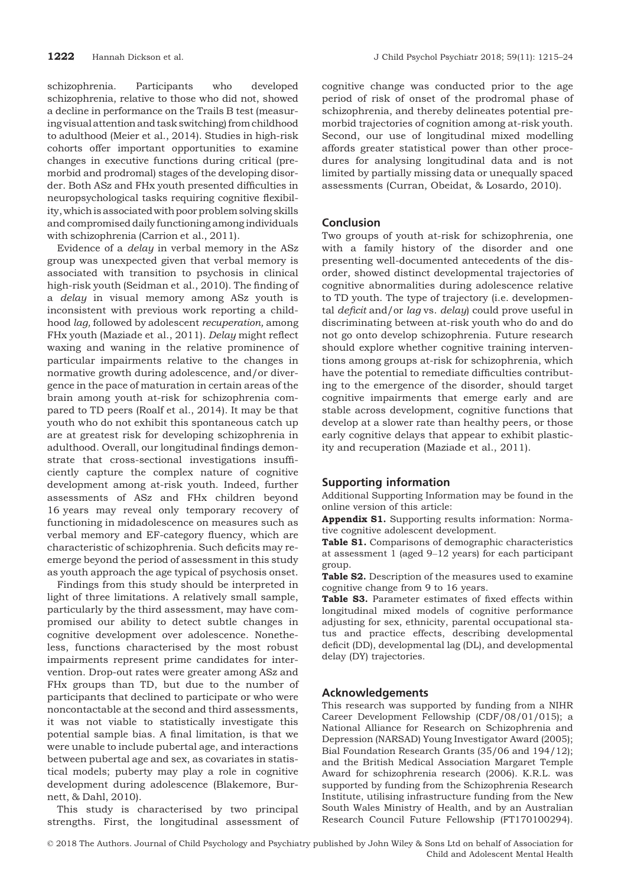schizophrenia. Participants who developed schizophrenia, relative to those who did not, showed a decline in performance on the Trails B test (measuring visual attention and task switching) from childhood to adulthood (Meier et al., 2014). Studies in high-risk cohorts offer important opportunities to examine changes in executive functions during critical (premorbid and prodromal) stages of the developing disorder. Both ASz and FHx youth presented difficulties in neuropsychological tasks requiring cognitive flexibility, which is associated with poor problem solving skills and compromised daily functioning among individuals with schizophrenia (Carrion et al., 2011).

Evidence of a delay in verbal memory in the ASz group was unexpected given that verbal memory is associated with transition to psychosis in clinical high-risk youth (Seidman et al., 2010). The finding of a *delay* in visual memory among ASz youth is inconsistent with previous work reporting a childhood lag, followed by adolescent recuperation, among FHx youth (Maziade et al., 2011). Delay might reflect waxing and waning in the relative prominence of particular impairments relative to the changes in normative growth during adolescence, and/or divergence in the pace of maturation in certain areas of the brain among youth at-risk for schizophrenia compared to TD peers (Roalf et al., 2014). It may be that youth who do not exhibit this spontaneous catch up are at greatest risk for developing schizophrenia in adulthood. Overall, our longitudinal findings demonstrate that cross-sectional investigations insufficiently capture the complex nature of cognitive development among at-risk youth. Indeed, further assessments of ASz and FHx children beyond 16 years may reveal only temporary recovery of functioning in midadolescence on measures such as verbal memory and EF-category fluency, which are characteristic of schizophrenia. Such deficits may reemerge beyond the period of assessment in this study as youth approach the age typical of psychosis onset.

Findings from this study should be interpreted in light of three limitations. A relatively small sample, particularly by the third assessment, may have compromised our ability to detect subtle changes in cognitive development over adolescence. Nonetheless, functions characterised by the most robust impairments represent prime candidates for intervention. Drop-out rates were greater among ASz and FHx groups than TD, but due to the number of participants that declined to participate or who were noncontactable at the second and third assessments, it was not viable to statistically investigate this potential sample bias. A final limitation, is that we were unable to include pubertal age, and interactions between pubertal age and sex, as covariates in statistical models; puberty may play a role in cognitive development during adolescence (Blakemore, Burnett, & Dahl, 2010).

This study is characterised by two principal strengths. First, the longitudinal assessment of cognitive change was conducted prior to the age period of risk of onset of the prodromal phase of schizophrenia, and thereby delineates potential premorbid trajectories of cognition among at-risk youth. Second, our use of longitudinal mixed modelling affords greater statistical power than other procedures for analysing longitudinal data and is not limited by partially missing data or unequally spaced assessments (Curran, Obeidat, & Losardo, 2010).

# Conclusion

Two groups of youth at-risk for schizophrenia, one with a family history of the disorder and one presenting well-documented antecedents of the disorder, showed distinct developmental trajectories of cognitive abnormalities during adolescence relative to TD youth. The type of trajectory (i.e. developmental *deficit* and/or lag vs. delay) could prove useful in discriminating between at-risk youth who do and do not go onto develop schizophrenia. Future research should explore whether cognitive training interventions among groups at-risk for schizophrenia, which have the potential to remediate difficulties contributing to the emergence of the disorder, should target cognitive impairments that emerge early and are stable across development, cognitive functions that develop at a slower rate than healthy peers, or those early cognitive delays that appear to exhibit plasticity and recuperation (Maziade et al., 2011).

# Supporting information

Additional Supporting Information may be found in the online version of this article:

Appendix S1. Supporting results information: Normative cognitive adolescent development.

Table S1. Comparisons of demographic characteristics at assessment 1 (aged 9–12 years) for each participant group.

Table S2. Description of the measures used to examine cognitive change from 9 to 16 years.

Table S3. Parameter estimates of fixed effects within longitudinal mixed models of cognitive performance adjusting for sex, ethnicity, parental occupational status and practice effects, describing developmental deficit (DD), developmental lag (DL), and developmental delay (DY) trajectories.

# Acknowledgements

This research was supported by funding from a NIHR Career Development Fellowship (CDF/08/01/015); a National Alliance for Research on Schizophrenia and Depression (NARSAD) Young Investigator Award (2005); Bial Foundation Research Grants (35/06 and 194/12); and the British Medical Association Margaret Temple Award for schizophrenia research (2006). K.R.L. was supported by funding from the Schizophrenia Research Institute, utilising infrastructure funding from the New South Wales Ministry of Health, and by an Australian Research Council Future Fellowship (FT170100294).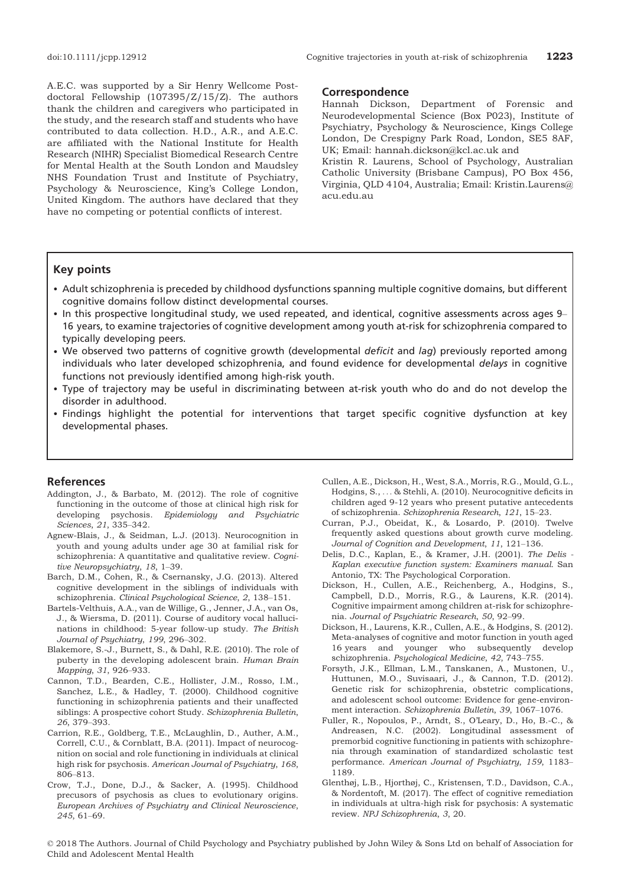A.E.C. was supported by a Sir Henry Wellcome Postdoctoral Fellowship (107395/Z/15/Z). The authors thank the children and caregivers who participated in the study, and the research staff and students who have contributed to data collection. H.D., A.R., and A.E.C. are affiliated with the National Institute for Health Research (NIHR) Specialist Biomedical Research Centre for Mental Health at the South London and Maudsley NHS Foundation Trust and Institute of Psychiatry, Psychology & Neuroscience, King's College London, United Kingdom. The authors have declared that they have no competing or potential conflicts of interest.

#### Correspondence

Hannah Dickson, Department of Forensic and Neurodevelopmental Science (Box P023), Institute of Psychiatry, Psychology & Neuroscience, Kings College London, De Crespigny Park Road, London, SE5 8AF, UK; Email: hannah.dickson@kcl.ac.uk and

Kristin R. Laurens, School of Psychology, Australian Catholic University (Brisbane Campus), PO Box 456, Virginia, QLD 4104, Australia; Email: Kristin.Laurens@ acu.edu.au

# Key points

- Adult schizophrenia is preceded by childhood dysfunctions spanning multiple cognitive domains, but different cognitive domains follow distinct developmental courses.
- In this prospective longitudinal study, we used repeated, and identical, cognitive assessments across ages 9– 16 years, to examine trajectories of cognitive development among youth at-risk for schizophrenia compared to typically developing peers.
- We observed two patterns of cognitive growth (developmental deficit and lag) previously reported among individuals who later developed schizophrenia, and found evidence for developmental delays in cognitive functions not previously identified among high-risk youth.
- Type of trajectory may be useful in discriminating between at-risk youth who do and do not develop the disorder in adulthood.
- Findings highlight the potential for interventions that target specific cognitive dysfunction at key developmental phases.

# References

- Addington, J., & Barbato, M. (2012). The role of cognitive functioning in the outcome of those at clinical high risk for developing psychosis. Epidemiology and Psychiatric Sciences, 21, 335–342.
- Agnew-Blais, J., & Seidman, L.J. (2013). Neurocognition in youth and young adults under age 30 at familial risk for schizophrenia: A quantitative and qualitative review. Cognitive Neuropsychiatry, 18, 1–39.
- Barch, D.M., Cohen, R., & Csernansky, J.G. (2013). Altered cognitive development in the siblings of individuals with schizophrenia. Clinical Psychological Science, 2, 138–151.
- Bartels-Velthuis, A.A., van de Willige, G., Jenner, J.A., van Os, J., & Wiersma, D. (2011). Course of auditory vocal hallucinations in childhood: 5-year follow-up study. The British Journal of Psychiatry, 199, 296–302.
- Blakemore, S.-J., Burnett, S., & Dahl, R.E. (2010). The role of puberty in the developing adolescent brain. Human Brain Mapping, 31, 926–933.
- Cannon, T.D., Bearden, C.E., Hollister, J.M., Rosso, I.M., Sanchez, L.E., & Hadley, T. (2000). Childhood cognitive functioning in schizophrenia patients and their unaffected siblings: A prospective cohort Study. Schizophrenia Bulletin, 26, 379–393.
- Carrion, R.E., Goldberg, T.E., McLaughlin, D., Auther, A.M., Correll, C.U., & Cornblatt, B.A. (2011). Impact of neurocognition on social and role functioning in individuals at clinical high risk for psychosis. American Journal of Psychiatry, 168, 806–813.
- Crow, T.J., Done, D.J., & Sacker, A. (1995). Childhood precusors of psychosis as clues to evolutionary origins. European Archives of Psychiatry and Clinical Neuroscience, 245, 61–69.
- Cullen, A.E., Dickson, H., West, S.A., Morris, R.G., Mould, G.L., Hodgins, S., ... & Stehli, A. (2010). Neurocognitive deficits in children aged 9-12 years who present putative antecedents of schizophrenia. Schizophrenia Research, 121, 15–23.
- Curran, P.J., Obeidat, K., & Losardo, P. (2010). Twelve frequently asked questions about growth curve modeling. Journal of Cognition and Development, 11, 121–136.
- Delis, D.C., Kaplan, E., & Kramer, J.H. (2001). The Delis Kaplan executive function system: Examiners manual. San Antonio, TX: The Psychological Corporation.
- Dickson, H., Cullen, A.E., Reichenberg, A., Hodgins, S., Campbell, D.D., Morris, R.G., & Laurens, K.R. (2014). Cognitive impairment among children at-risk for schizophrenia. Journal of Psychiatric Research, 50, 92–99.
- Dickson, H., Laurens, K.R., Cullen, A.E., & Hodgins, S. (2012). Meta-analyses of cognitive and motor function in youth aged 16 years and younger who subsequently develop schizophrenia. Psychological Medicine, 42, 743–755.
- Forsyth, J.K., Ellman, L.M., Tanskanen, A., Mustonen, U., Huttunen, M.O., Suvisaari, J., & Cannon, T.D. (2012). Genetic risk for schizophrenia, obstetric complications, and adolescent school outcome: Evidence for gene-environment interaction. Schizophrenia Bulletin, 39, 1067–1076.
- Fuller, R., Nopoulos, P., Arndt, S., O'Leary, D., Ho, B.-C., & Andreasen, N.C. (2002). Longitudinal assessment of premorbid cognitive functioning in patients with schizophrenia through examination of standardized scholastic test performance. American Journal of Psychiatry, 159, 1183– 1189.
- Glenthøj, L.B., Hjorthøj, C., Kristensen, T.D., Davidson, C.A., & Nordentoft, M. (2017). The effect of cognitive remediation in individuals at ultra-high risk for psychosis: A systematic review. NPJ Schizophrenia, 3, 20.